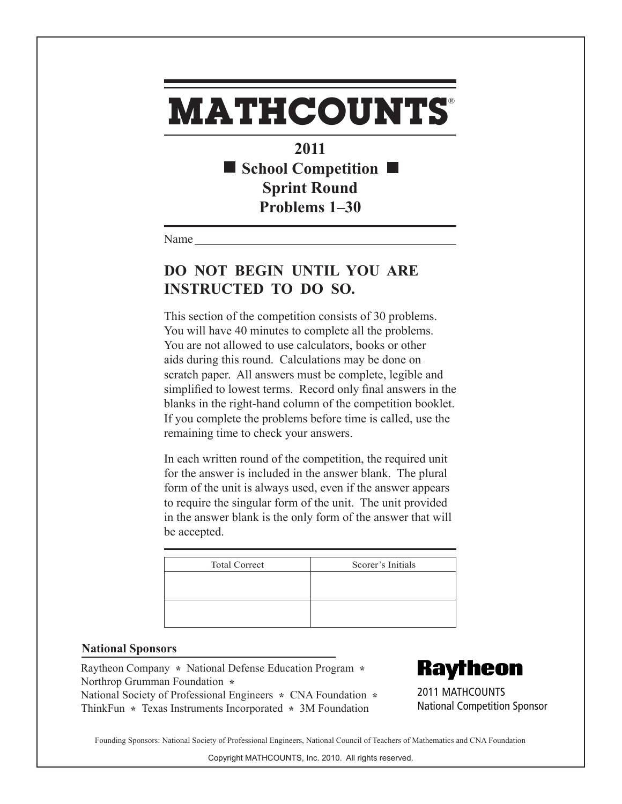## **MATHCOUNTS** ®

**2011** ■ School Competition ■ **Sprint Round Problems 1–30**

Name

## **DO NOT BEGIN UNTIL YOU ARE INSTRUCTED TO DO SO.**

This section of the competition consists of 30 problems. You will have 40 minutes to complete all the problems. You are not allowed to use calculators, books or other aids during this round. Calculations may be done on scratch paper. All answers must be complete, legible and simplified to lowest terms. Record only final answers in the blanks in the right-hand column of the competition booklet. If you complete the problems before time is called, use the remaining time to check your answers.

In each written round of the competition, the required unit for the answer is included in the answer blank. The plural form of the unit is always used, even if the answer appears to require the singular form of the unit. The unit provided in the answer blank is the only form of the answer that will be accepted.

| <b>Total Correct</b> | Scorer's Initials |
|----------------------|-------------------|
|                      |                   |
|                      |                   |
|                      |                   |
|                      |                   |

## **National Sponsors**

Raytheon Company **\*** National Defense Education Program **\***  Northrop Grumman Foundation **\***  National Society of Professional Engineers **\*** CNA Foundation **\***  ThinkFun **\*** Texas Instruments Incorporated **\*** 3M Foundation

**Raytheon** 

2011 MATHCOUNTS National Competition Sponsor

Founding Sponsors: National Society of Professional Engineers, National Council of Teachers of Mathematics and CNA Foundation

Copyright MATHCOUNTS, Inc. 2010. All rights reserved.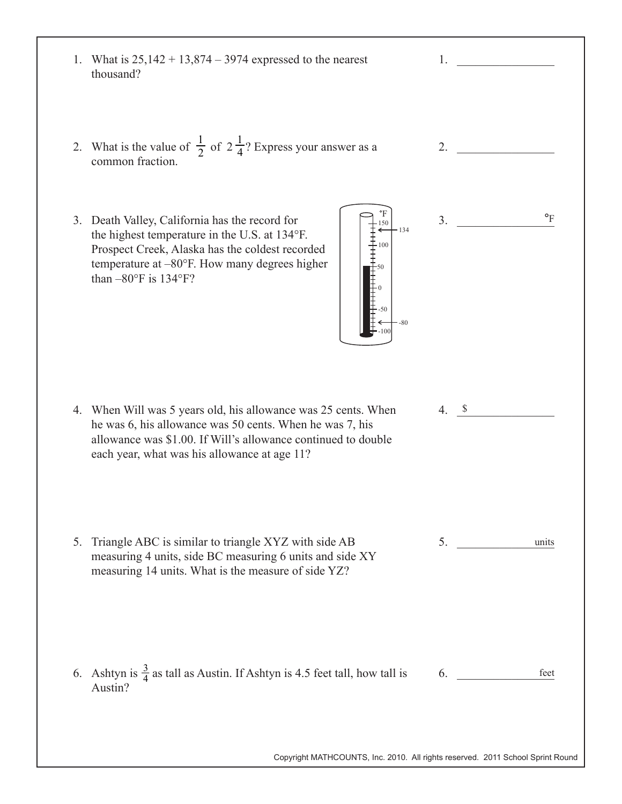| thousand?                      | 1. What is $25,142 + 13,874 - 3974$ expressed to the nearest                                                                                                                                                                                   | 1.                                                                             |
|--------------------------------|------------------------------------------------------------------------------------------------------------------------------------------------------------------------------------------------------------------------------------------------|--------------------------------------------------------------------------------|
| common fraction.               | 2. What is the value of $\frac{1}{2}$ of $2\frac{1}{4}$ ? Express your answer as a                                                                                                                                                             | 2.                                                                             |
| than $-80^{\circ}$ F is 134°F? | 3. Death Valley, California has the record for<br>150<br>$-134$<br>the highest temperature in the U.S. at 134°F.<br>- 100<br>Prospect Creek, Alaska has the coldest recorded<br>丰丰丰<br>temperature at $-80^{\circ}$ F. How many degrees higher | $\circ_F$<br>3.                                                                |
|                                | 4. When Will was 5 years old, his allowance was 25 cents. When<br>he was 6, his allowance was 50 cents. When he was 7, his<br>allowance was \$1.00. If Will's allowance continued to double<br>each year, what was his allowance at age 11?    | $\mathcal{S}$<br>$\overline{4}$ .                                              |
| 5.                             | Triangle ABC is similar to triangle XYZ with side AB<br>measuring 4 units, side BC measuring 6 units and side XY<br>measuring 14 units. What is the measure of side YZ?                                                                        | 5.<br>units                                                                    |
| Austin?                        | 6. Ashtyn is $\frac{3}{4}$ as tall as Austin. If Ashtyn is 4.5 feet tall, how tall is                                                                                                                                                          | 6.<br>feet                                                                     |
|                                |                                                                                                                                                                                                                                                | Copyright MATHCOUNTS, Inc. 2010. All rights reserved. 2011 School Sprint Round |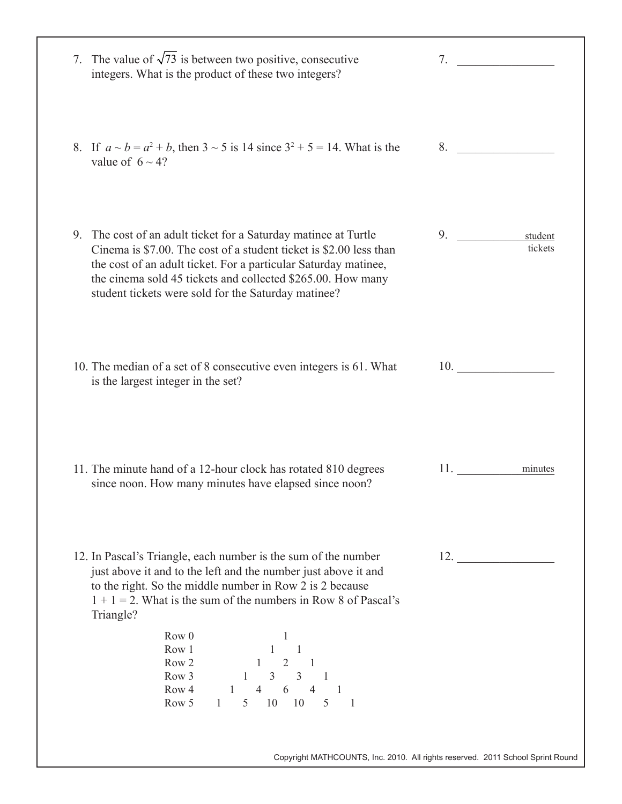| 7. The value of $\sqrt{73}$ is between two positive, consecutive<br>integers. What is the product of these two integers?                                                                                                                                                                                                                                                                                                                                                                   | 7.                       |
|--------------------------------------------------------------------------------------------------------------------------------------------------------------------------------------------------------------------------------------------------------------------------------------------------------------------------------------------------------------------------------------------------------------------------------------------------------------------------------------------|--------------------------|
| 8. If $a \sim b = a^2 + b$ , then $3 \sim 5$ is 14 since $3^2 + 5 = 14$ . What is the<br>value of $6 \sim 4$ ?                                                                                                                                                                                                                                                                                                                                                                             | 8.                       |
| 9. The cost of an adult ticket for a Saturday matinee at Turtle<br>Cinema is \$7.00. The cost of a student ticket is \$2.00 less than<br>the cost of an adult ticket. For a particular Saturday matinee,<br>the cinema sold 45 tickets and collected \$265.00. How many<br>student tickets were sold for the Saturday matinee?                                                                                                                                                             | 9.<br>student<br>tickets |
| 10. The median of a set of 8 consecutive even integers is 61. What<br>is the largest integer in the set?                                                                                                                                                                                                                                                                                                                                                                                   | 10.                      |
| 11. The minute hand of a 12-hour clock has rotated 810 degrees<br>since noon. How many minutes have elapsed since noon?                                                                                                                                                                                                                                                                                                                                                                    | minutes<br>11.           |
| 12. In Pascal's Triangle, each number is the sum of the number<br>just above it and to the left and the number just above it and<br>to the right. So the middle number in Row 2 is 2 because<br>$1 + 1 = 2$ . What is the sum of the numbers in Row 8 of Pascal's<br>Triangle?<br>Row 0<br>1<br>$1 \qquad 1$<br>Row 1<br>$1 \quad 2 \quad 1$<br>Row 2<br>$1 \quad 3 \quad 3 \quad 1$<br>Row 3<br>$1 \t 4 \t 6 \t 4 \t 1$<br>Row 4<br>5 10 10 5<br>Row 5<br>1<br>$\overline{\phantom{0}}$ 1 | 12.                      |

Copyright MATHCOUNTS, Inc. 2010. All rights reserved. 2011 School Sprint Round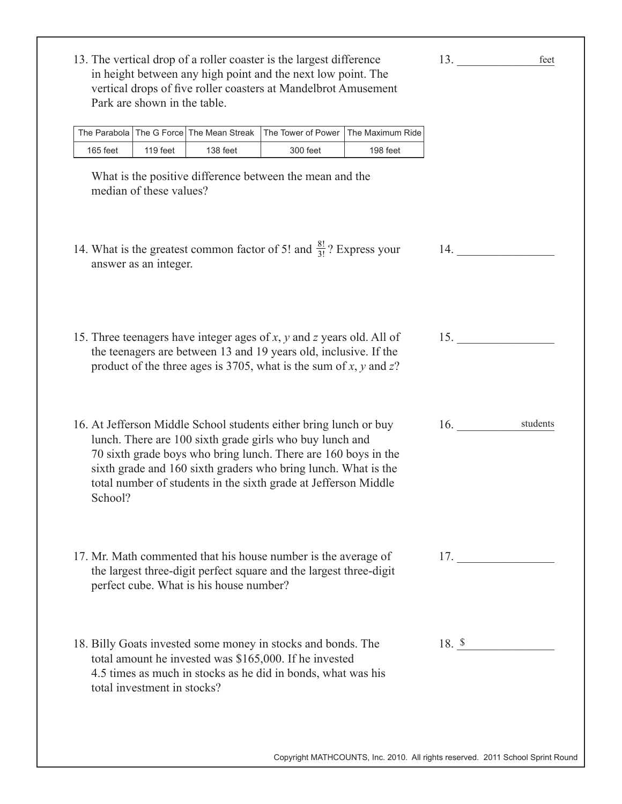|          |                                                                                                                                                                                 | The Parabola   The G Force   The Mean Streak | The Tower of Power                                                                                                                                                                                                                                                                                                                   | The Maximum Ride |                 |
|----------|---------------------------------------------------------------------------------------------------------------------------------------------------------------------------------|----------------------------------------------|--------------------------------------------------------------------------------------------------------------------------------------------------------------------------------------------------------------------------------------------------------------------------------------------------------------------------------------|------------------|-----------------|
| 165 feet | 119 feet                                                                                                                                                                        | 138 feet                                     | 300 feet                                                                                                                                                                                                                                                                                                                             | 198 feet         |                 |
|          | median of these values?                                                                                                                                                         |                                              | What is the positive difference between the mean and the                                                                                                                                                                                                                                                                             |                  |                 |
|          | answer as an integer.                                                                                                                                                           |                                              | 14. What is the greatest common factor of 5! and $\frac{8!}{3!}$ ? Express your                                                                                                                                                                                                                                                      |                  | 14.             |
|          |                                                                                                                                                                                 |                                              | 15. Three teenagers have integer ages of $x$ , $y$ and $z$ years old. All of<br>the teenagers are between 13 and 19 years old, inclusive. If the<br>product of the three ages is 3705, what is the sum of x, y and z?                                                                                                                |                  | 15.             |
| School?  |                                                                                                                                                                                 |                                              | 16. At Jefferson Middle School students either bring lunch or buy<br>lunch. There are 100 sixth grade girls who buy lunch and<br>70 sixth grade boys who bring lunch. There are 160 boys in the<br>sixth grade and 160 sixth graders who bring lunch. What is the<br>total number of students in the sixth grade at Jefferson Middle |                  | students<br>16. |
|          | 17. Mr. Math commented that his house number is the average of<br>the largest three-digit perfect square and the largest three-digit<br>perfect cube. What is his house number? | 17.                                          |                                                                                                                                                                                                                                                                                                                                      |                  |                 |
|          |                                                                                                                                                                                 |                                              | 18. Billy Goats invested some money in stocks and bonds. The<br>total amount he invested was \$165,000. If he invested<br>4.5 times as much in stocks as he did in bonds, what was his                                                                                                                                               |                  | 18. \$          |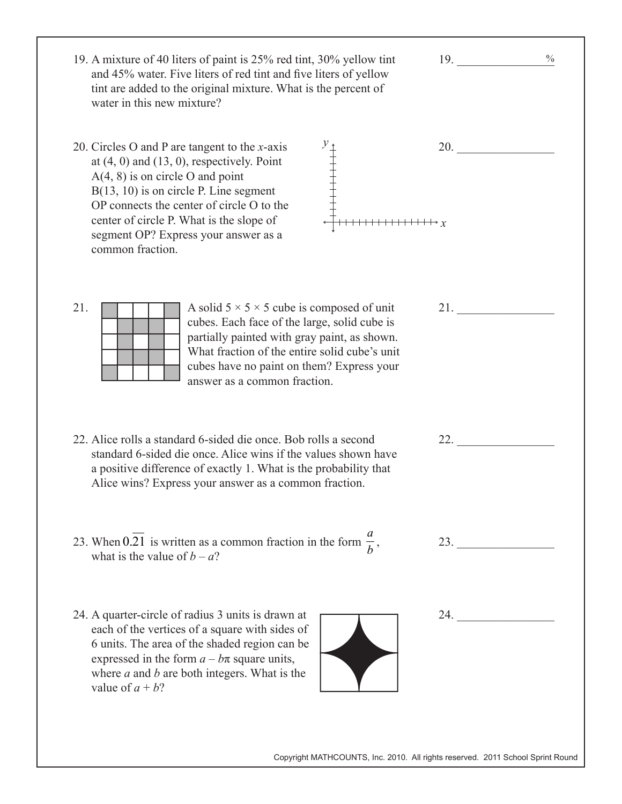$19.$ 20. 21. \_\_\_\_\_\_\_\_\_\_\_\_\_\_\_\_ 22. \_\_\_\_\_\_\_\_\_\_\_\_\_\_\_\_ 23. \_\_\_\_\_\_\_\_\_\_\_\_\_\_\_\_ 24. \_\_\_\_\_\_\_\_\_\_\_\_\_\_\_\_ 19. A mixture of 40 liters of paint is 25% red tint, 30% yellow tint and 45% water. Five liters of red tint and five liters of yellow tint are added to the original mixture. What is the percent of water in this new mixture? 20. Circles O and P are tangent to the *x*-axis at  $(4, 0)$  and  $(13, 0)$ , respectively. Point A(4, 8) is on circle O and point B(13, 10) is on circle P. Line segment OP connects the center of circle O to the center of circle P. What is the slope of segment OP? Express your answer as a common fraction. 21. A solid  $5 \times 5 \times 5$  cube is composed of unit cubes. Each face of the large, solid cube is partially painted with gray paint, as shown. What fraction of the entire solid cube's unit cubes have no paint on them? Express your answer as a common fraction. 22. Alice rolls a standard 6-sided die once. Bob rolls a second standard 6-sided die once. Alice wins if the values shown have a positive difference of exactly 1. What is the probability that Alice wins? Express your answer as a common fraction. 23. When  $0.\overline{21}$  is written as a common fraction in the form  $\frac{a}{b}$  $\frac{a}{b}$ , what is the value of  $b - a$ ? 24. A quarter-circle of radius 3 units is drawn at each of the vertices of a square with sides of 6 units. The area of the shaded region can be expressed in the form  $a - b\pi$  square units, where *a* and *b* are both integers. What is the value of  $a + b$ ?  $\frac{0}{0}$ *y x*

Copyright MATHCOUNTS, Inc. 2010. All rights reserved. 2011 School Sprint Round